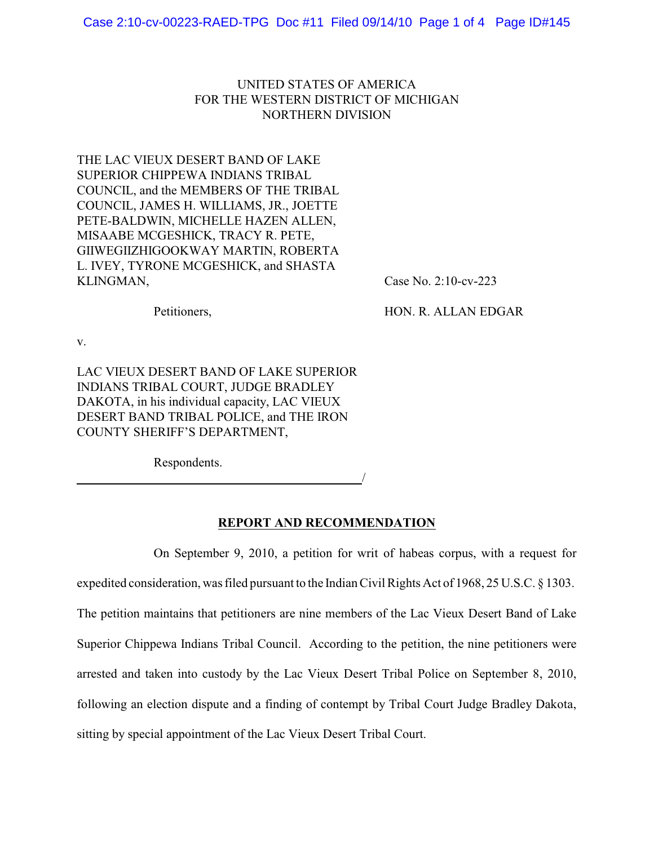## UNITED STATES OF AMERICA FOR THE WESTERN DISTRICT OF MICHIGAN NORTHERN DIVISION

THE LAC VIEUX DESERT BAND OF LAKE SUPERIOR CHIPPEWA INDIANS TRIBAL COUNCIL, and the MEMBERS OF THE TRIBAL COUNCIL, JAMES H. WILLIAMS, JR., JOETTE PETE-BALDWIN, MICHELLE HAZEN ALLEN, MISAABE MCGESHICK, TRACY R. PETE, GIIWEGIIZHIGOOKWAY MARTIN, ROBERTA L. IVEY, TYRONE MCGESHICK, and SHASTA KLINGMAN, Case No. 2:10-cv-223

Petitioners, HON. R. ALLAN EDGAR

v.

LAC VIEUX DESERT BAND OF LAKE SUPERIOR INDIANS TRIBAL COURT, JUDGE BRADLEY DAKOTA, in his individual capacity, LAC VIEUX DESERT BAND TRIBAL POLICE, and THE IRON COUNTY SHERIFF'S DEPARTMENT,

Respondents.

/

## **REPORT AND RECOMMENDATION**

On September 9, 2010, a petition for writ of habeas corpus, with a request for

expedited consideration, was filed pursuant to the Indian Civil Rights Act of 1968, 25 U.S.C.  $\S$  1303.

The petition maintains that petitioners are nine members of the Lac Vieux Desert Band of Lake Superior Chippewa Indians Tribal Council. According to the petition, the nine petitioners were

arrested and taken into custody by the Lac Vieux Desert Tribal Police on September 8, 2010,

following an election dispute and a finding of contempt by Tribal Court Judge Bradley Dakota,

sitting by special appointment of the Lac Vieux Desert Tribal Court.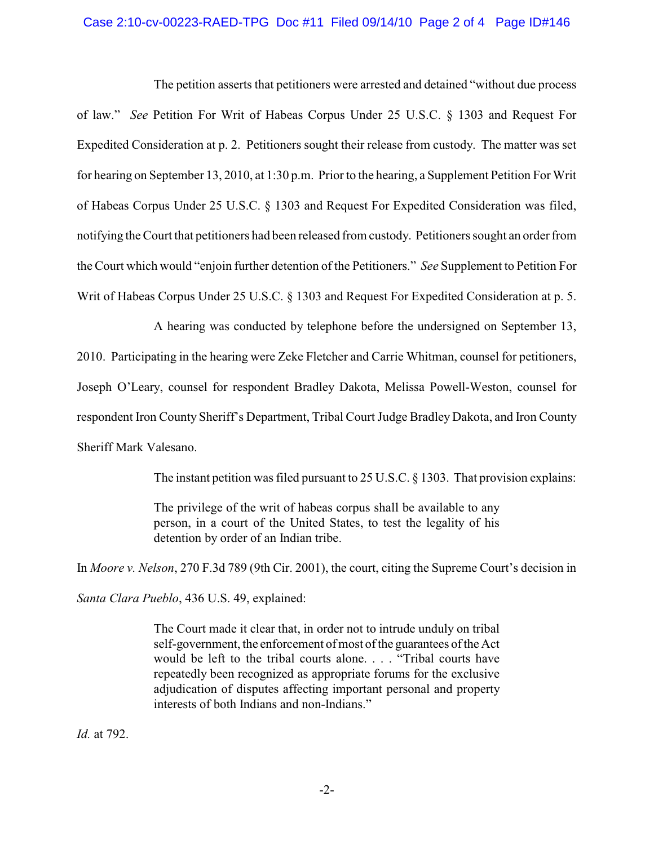## Case 2:10-cv-00223-RAED-TPG Doc #11 Filed 09/14/10 Page 2 of 4 Page ID#146

The petition asserts that petitioners were arrested and detained "without due process of law." *See* Petition For Writ of Habeas Corpus Under 25 U.S.C. § 1303 and Request For Expedited Consideration at p. 2. Petitioners sought their release from custody. The matter was set for hearing on September 13, 2010, at 1:30 p.m. Prior to the hearing, a Supplement Petition For Writ of Habeas Corpus Under 25 U.S.C. § 1303 and Request For Expedited Consideration was filed, notifying the Court that petitioners had been released from custody. Petitioners sought an orderfrom the Court which would "enjoin further detention of the Petitioners." *See* Supplement to Petition For Writ of Habeas Corpus Under 25 U.S.C. § 1303 and Request For Expedited Consideration at p. 5.

A hearing was conducted by telephone before the undersigned on September 13, 2010. Participating in the hearing were Zeke Fletcher and Carrie Whitman, counsel for petitioners, Joseph O'Leary, counsel for respondent Bradley Dakota, Melissa Powell-Weston, counsel for respondent Iron County Sheriff's Department, Tribal Court Judge Bradley Dakota, and Iron County Sheriff Mark Valesano.

The instant petition was filed pursuant to 25 U.S.C. § 1303. That provision explains:

The privilege of the writ of habeas corpus shall be available to any person, in a court of the United States, to test the legality of his detention by order of an Indian tribe.

In *Moore v. Nelson*, 270 F.3d 789 (9th Cir. 2001), the court, citing the Supreme Court's decision in *Santa Clara Pueblo*, 436 U.S. 49, explained:

> The Court made it clear that, in order not to intrude unduly on tribal self-government, the enforcement of most of the guarantees of the Act would be left to the tribal courts alone. . . . "Tribal courts have repeatedly been recognized as appropriate forums for the exclusive adjudication of disputes affecting important personal and property interests of both Indians and non-Indians."

*Id.* at 792.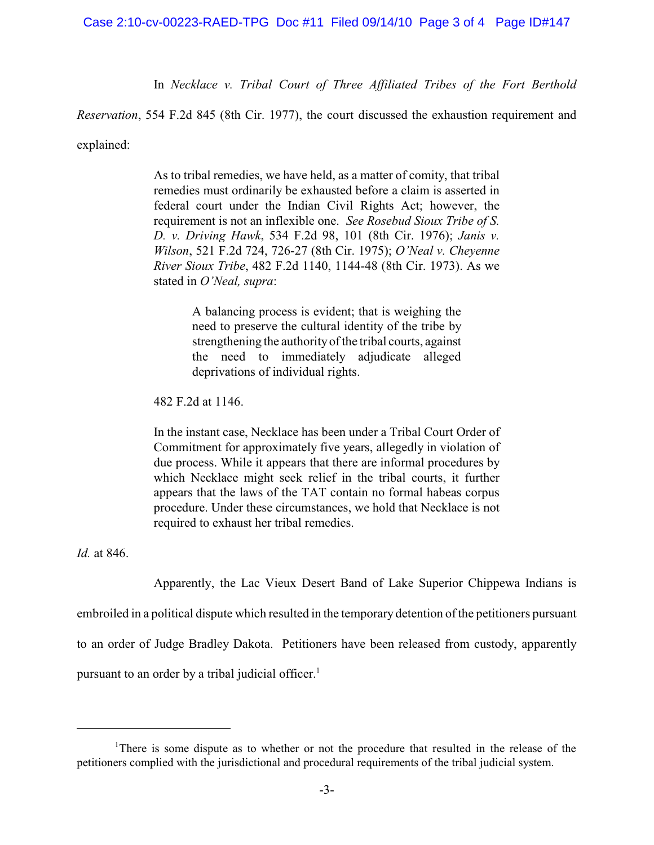In *Necklace v. Tribal Court of Three Affiliated Tribes of the Fort Berthold*

*Reservation*, 554 F.2d 845 (8th Cir. 1977), the court discussed the exhaustion requirement and

explained:

As to tribal remedies, we have held, as a matter of comity, that tribal remedies must ordinarily be exhausted before a claim is asserted in federal court under the Indian Civil Rights Act; however, the requirement is not an inflexible one. *See Rosebud Sioux Tribe of S. D. v. Driving Hawk*, 534 F.2d 98, 101 (8th Cir. 1976); *Janis v. Wilson*, 521 F.2d 724, 726-27 (8th Cir. 1975); *O'Neal v. Cheyenne River Sioux Tribe*, 482 F.2d 1140, 1144-48 (8th Cir. 1973). As we stated in *O'Neal, supra*:

> A balancing process is evident; that is weighing the need to preserve the cultural identity of the tribe by strengthening the authority of the tribal courts, against the need to immediately adjudicate alleged deprivations of individual rights.

482 F.2d at 1146.

In the instant case, Necklace has been under a Tribal Court Order of Commitment for approximately five years, allegedly in violation of due process. While it appears that there are informal procedures by which Necklace might seek relief in the tribal courts, it further appears that the laws of the TAT contain no formal habeas corpus procedure. Under these circumstances, we hold that Necklace is not required to exhaust her tribal remedies.

*Id.* at 846.

Apparently, the Lac Vieux Desert Band of Lake Superior Chippewa Indians is embroiled in a political dispute which resulted in the temporary detention of the petitioners pursuant to an order of Judge Bradley Dakota. Petitioners have been released from custody, apparently pursuant to an order by a tribal judicial officer.<sup>1</sup>

<sup>&</sup>lt;sup>1</sup>There is some dispute as to whether or not the procedure that resulted in the release of the petitioners complied with the jurisdictional and procedural requirements of the tribal judicial system.